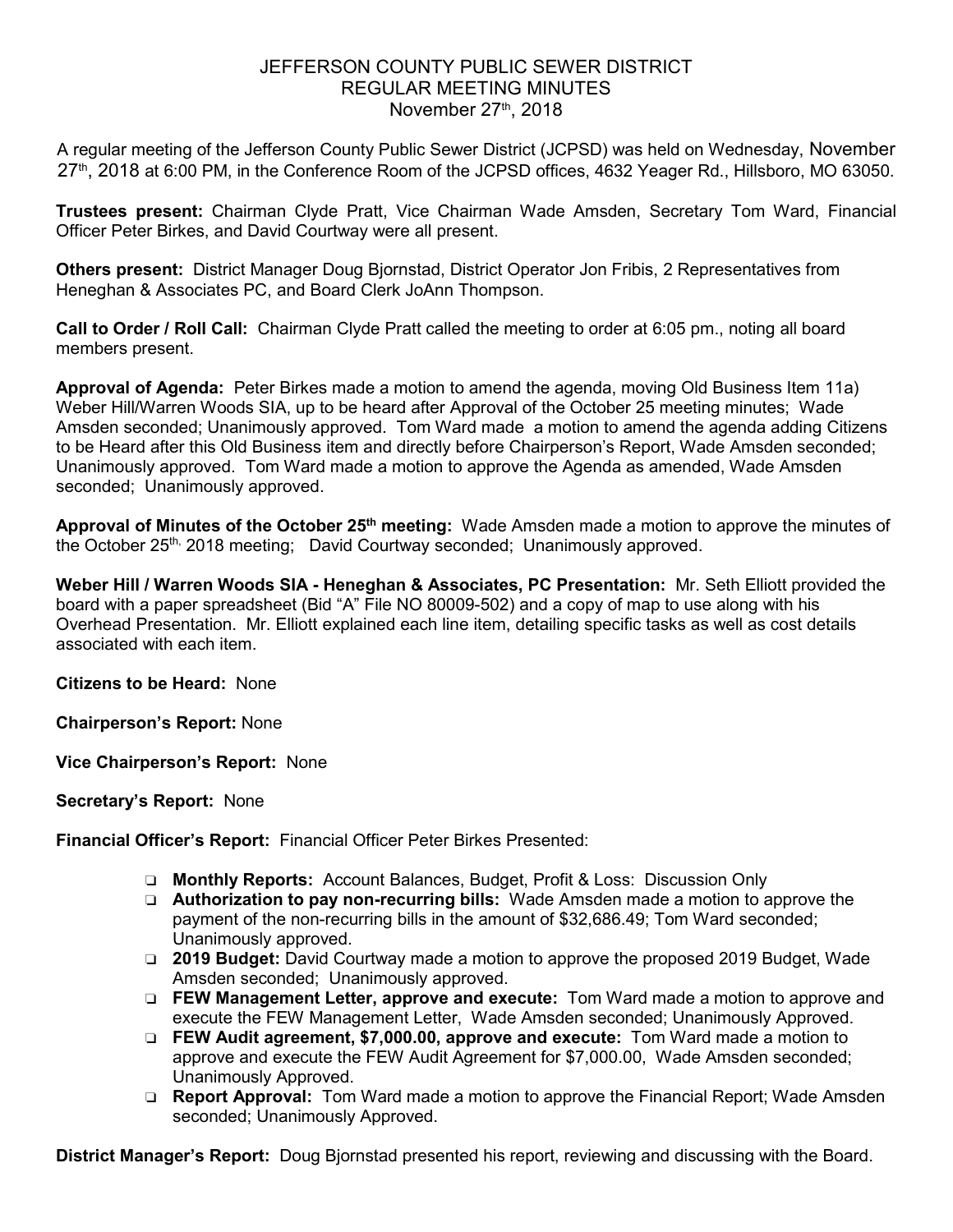## JEFFERSON COUNTY PUBLIC SEWER DISTRICT REGULAR MEETING MINUTES November  $27<sup>th</sup>$ , 2018

A regular meeting of the Jefferson County Public Sewer District (JCPSD) was held on Wednesday, November 27<sup>th</sup>, 2018 at 6:00 PM, in the Conference Room of the JCPSD offices, 4632 Yeager Rd., Hillsboro, MO 63050.

**Trustees present:** Chairman Clyde Pratt, Vice Chairman Wade Amsden, Secretary Tom Ward, Financial Officer Peter Birkes, and David Courtway were all present.

**Others present:** District Manager Doug Bjornstad, District Operator Jon Fribis, 2 Representatives from Heneghan & Associates PC, and Board Clerk JoAnn Thompson.

**Call to Order / Roll Call:** Chairman Clyde Pratt called the meeting to order at 6:05 pm., noting all board members present.

**Approval of Agenda:** Peter Birkes made a motion to amend the agenda, moving Old Business Item 11a) Weber Hill/Warren Woods SIA, up to be heard after Approval of the October 25 meeting minutes; Wade Amsden seconded; Unanimously approved. Tom Ward made a motion to amend the agenda adding Citizens to be Heard after this Old Business item and directly before Chairperson's Report, Wade Amsden seconded; Unanimously approved. Tom Ward made a motion to approve the Agenda as amended, Wade Amsden seconded; Unanimously approved.

**Approval of Minutes of the October 25th meeting:** Wade Amsden made a motion to approve the minutes of the October 25<sup>th,</sup> 2018 meeting; David Courtway seconded; Unanimously approved.

**Weber Hill / Warren Woods SIA - Heneghan & Associates, PC Presentation:** Mr. Seth Elliott provided the board with a paper spreadsheet (Bid "A" File NO 80009-502) and a copy of map to use along with his Overhead Presentation. Mr. Elliott explained each line item, detailing specific tasks as well as cost details associated with each item.

**Citizens to be Heard:** None

**Chairperson's Report:** None

**Vice Chairperson's Report:** None

**Secretary's Report:** None

**Financial Officer's Report:** Financial Officer Peter Birkes Presented:

- ❏ **Monthly Reports:** Account Balances, Budget, Profit & Loss: Discussion Only
- ❏ **Authorization to pay non-recurring bills:** Wade Amsden made a motion to approve the payment of the non-recurring bills in the amount of \$32,686.49; Tom Ward seconded; Unanimously approved.
- ❏ **2019 Budget:** David Courtway made a motion to approve the proposed 2019 Budget, Wade Amsden seconded; Unanimously approved.
- ❏ **FEW Management Letter, approve and execute:** Tom Ward made a motion to approve and execute the FEW Management Letter, Wade Amsden seconded; Unanimously Approved.
- ❏ **FEW Audit agreement, \$7,000.00, approve and execute:** Tom Ward made a motion to approve and execute the FEW Audit Agreement for \$7,000.00, Wade Amsden seconded; Unanimously Approved.
- ❏ **Report Approval:** Tom Ward made a motion to approve the Financial Report; Wade Amsden seconded; Unanimously Approved.

**District Manager's Report:** Doug Bjornstad presented his report, reviewing and discussing with the Board.